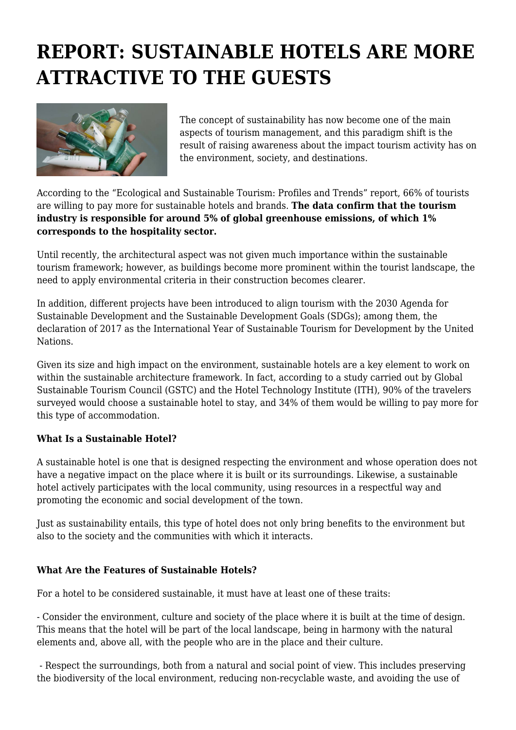## **REPORT: SUSTAINABLE HOTELS ARE MORE ATTRACTIVE TO THE GUESTS**



The concept of sustainability has now become one of the main aspects of tourism management, and this paradigm shift is the result of raising awareness about the impact tourism activity has on the environment, society, and destinations.

According to the "Ecological and Sustainable Tourism: Profiles and Trends" report, 66% of tourists are willing to pay more for sustainable hotels and brands. **The data confirm that the tourism industry is responsible for around 5% of global greenhouse emissions, of which 1% corresponds to the hospitality sector.**

Until recently, the architectural aspect was not given much importance within the sustainable tourism framework; however, as buildings become more prominent within the tourist landscape, the need to apply environmental criteria in their construction becomes clearer.

In addition, different projects have been introduced to align tourism with the 2030 Agenda for Sustainable Development and the Sustainable Development Goals (SDGs); among them, the declaration of 2017 as the International Year of Sustainable Tourism for Development by the United Nations.

Given its size and high impact on the environment, sustainable hotels are a key element to work on within the sustainable architecture framework. In fact, according to a study carried out by Global Sustainable Tourism Council (GSTC) and the Hotel Technology Institute (ITH), 90% of the travelers surveyed would choose a sustainable hotel to stay, and 34% of them would be willing to pay more for this type of accommodation.

## **What Is a Sustainable Hotel?**

A sustainable hotel is one that is designed respecting the environment and whose operation does not have a negative impact on the place where it is built or its surroundings. Likewise, a sustainable hotel actively participates with the local community, using resources in a respectful way and promoting the economic and social development of the town.

Just as sustainability entails, this type of hotel does not only bring benefits to the environment but also to the society and the communities with which it interacts.

## **What Are the Features of Sustainable Hotels?**

For a hotel to be considered sustainable, it must have at least one of these traits:

- Consider the environment, culture and society of the place where it is built at the time of design. This means that the hotel will be part of the local landscape, being in harmony with the natural elements and, above all, with the people who are in the place and their culture.

 - Respect the surroundings, both from a natural and social point of view. This includes preserving the biodiversity of the local environment, reducing non-recyclable waste, and avoiding the use of